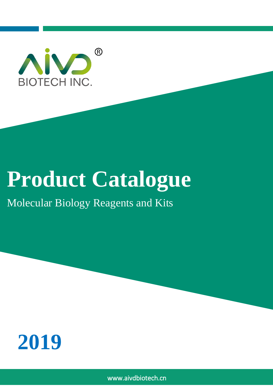

# **Product Catalogue**

## Molecular Biology Reagents and Kits



www.aivdbiotech.cn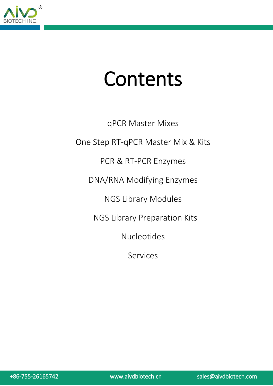

# Contents

qPCR Master Mixes One Step RT-qPCR Master Mix & Kits PCR & RT-PCR Enzymes DNA/RNA Modifying Enzymes NGS Library Modules NGS Library Preparation Kits Nucleotides Services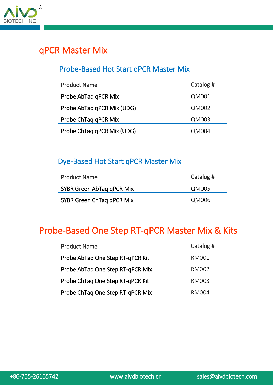

## qPCR Master Mix

#### Probe-Based Hot Start qPCR Master Mix

| <b>Product Name</b>        | Catalog # |
|----------------------------|-----------|
| Probe AbTaq qPCR Mix       | QM001     |
| Probe AbTaq qPCR Mix (UDG) | QM002     |
| Probe ChTag qPCR Mix       | QM003     |
| Probe ChTaq qPCR Mix (UDG) | QM004     |

#### Dye-Based Hot Start qPCR Master Mix

| <b>Product Name</b>       | Catalog # |
|---------------------------|-----------|
| SYBR Green AbTag gPCR Mix | QM005     |
| SYBR Green ChTag qPCR Mix | QM006     |

## Probe-Based One Step RT-qPCR Master Mix & Kits

| <b>Product Name</b>              | Catalog # |
|----------------------------------|-----------|
| Probe AbTag One Step RT-qPCR Kit | RM001     |
| Probe AbTag One Step RT-qPCR Mix | RM002     |
| Probe ChTaq One Step RT-qPCR Kit | RM003     |
| Probe ChTaq One Step RT-qPCR Mix | RM004     |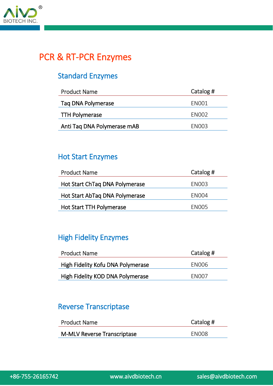

## PCR & RT-PCR Enzymes

### Standard Enzymes

| <b>Product Name</b>         | Catalog #         |
|-----------------------------|-------------------|
| Tag DNA Polymerase          | <b>EN001</b>      |
| <b>TTH Polymerase</b>       | ENOO <sub>2</sub> |
| Anti Tag DNA Polymerase mAB | <b>FN003</b>      |

#### Hot Start Enzymes

| <b>Product Name</b>             | Catalog #         |
|---------------------------------|-------------------|
| Hot Start ChTag DNA Polymerase  | EN <sub>003</sub> |
| Hot Start AbTag DNA Polymerase  | <b>EN004</b>      |
| <b>Hot Start TTH Polymerase</b> | <b>EN005</b>      |

#### High Fidelity Enzymes

| <b>Product Name</b>               | Catalog # |
|-----------------------------------|-----------|
| High Fidelity Kofu DNA Polymerase | EN006     |
| High Fidelity KOD DNA Polymerase  | EN007     |

#### Reverse Transcriptase

| Catalog #    |  |
|--------------|--|
| <b>EN008</b> |  |
|              |  |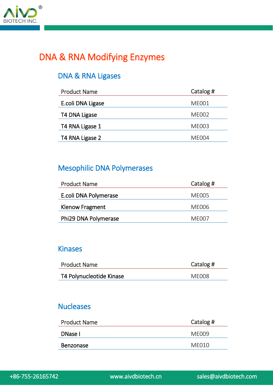

## DNA & RNA Modifying Enzymes

#### DNA & RNA Ligases

| <b>Product Name</b> | Catalog #         |
|---------------------|-------------------|
| E.coli DNA Ligase   | <b>ME001</b>      |
| T4 DNA Ligase       | <b>ME002</b>      |
| T4 RNA Ligase 1     | <b>ME003</b>      |
| T4 RNA Ligase 2     | MF <sub>004</sub> |

#### Mesophilic DNA Polymerases

| <b>Product Name</b>   | Catalog #         |
|-----------------------|-------------------|
| E.coli DNA Polymerase | ME005             |
| Klenow Fragment       | MF006             |
| Phi29 DNA Polymerase  | MF <sub>007</sub> |

#### Kinases

| <b>Product Name</b>      | Catalog # |
|--------------------------|-----------|
| T4 Polynucleotide Kinase | MF008     |

#### **Nucleases**

| <b>Product Name</b> | Catalog # |
|---------------------|-----------|
| DNase I             | MF009     |
| <b>Benzonase</b>    | ME010     |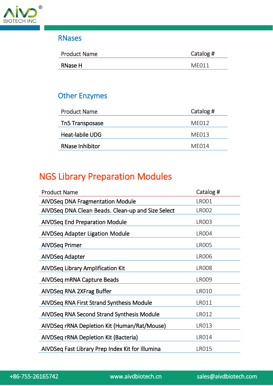

#### RNases

| <b>Product Name</b> | Catalog # |
|---------------------|-----------|
| RNase H             | MF011     |
|                     |           |

### Other Enzymes

| <b>Product Name</b>    | Catalog # |
|------------------------|-----------|
| Tn5 Transposase        | ME012     |
| Heat-labile UDG        | MF013     |
| <b>RNase Inhibitor</b> | MF014     |

## NGS Library Preparation Modules

| <b>Product Name</b>                               | Catalog #    |
|---------------------------------------------------|--------------|
| <b>AIVDSeq DNA Fragmentation Module</b>           | <b>LR001</b> |
| AIVDSeg DNA Clean Beads. Clean-up and Size Select | <b>LR002</b> |
| <b>AIVDSeq End Preparation Module</b>             | <b>LR003</b> |
| <b>AIVDSeq Adapter Ligation Module</b>            | <b>LR004</b> |
| <b>AIVDSeq Primer</b>                             | <b>LR005</b> |
| AIVDSeq Adapter                                   | <b>LR006</b> |
| AIVDSeq Library Amplification Kit                 | <b>LR008</b> |
| AIVDSeq mRNA Capture Beads                        | <b>LR009</b> |
| AIVDSeq RNA 2XFrag Buffer                         | <b>LR010</b> |
| AIVDSeq RNA First Strand Synthesis Module         | LR011        |
| AIVDSeq RNA Second Strand Synthesis Module        | LR012        |
| AIVDSeq rRNA Depletion Kit (Human/Rat/Mouse)      | <b>LR013</b> |
| AIVDSeq rRNA Depletion Kit (Bacteria)             | <b>LR014</b> |
| AIVDSeq Fast Library Prep Index Kit for Illumina  | <b>LR015</b> |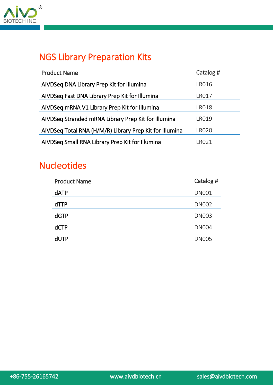

## NGS Library Preparation Kits

| <b>Product Name</b>                                     | Catalog # |
|---------------------------------------------------------|-----------|
| AIVDSeq DNA Library Prep Kit for Illumina               | LRO16     |
| AIVDSeq Fast DNA Library Prep Kit for Illumina          | LRO17     |
| AIVDSeq mRNA V1 Library Prep Kit for Illumina           | LR018     |
| AIVDSeq Stranded mRNA Library Prep Kit for Illumina     | I RO19    |
| AIVDSeq Total RNA (H/M/R) Library Prep Kit for Illumina | I RO20    |
| AIVDSeq Small RNA Library Prep Kit for Illumina         | ∣RO21     |

## **Nucleotides**

| <b>Product Name</b> | Catalog #    |
|---------------------|--------------|
| <b>dATP</b>         | <b>DN001</b> |
| $d$ TTP             | <b>DN002</b> |
| <b>dGTP</b>         | <b>DN003</b> |
| <b>dCTP</b>         | <b>DN004</b> |
| dUTP                | <b>DN005</b> |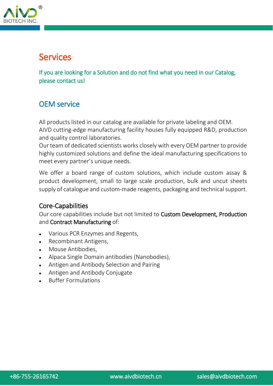

## Services

If you are looking for a Solution and do not find what you need in our Catalog, please contact us!

#### OEM service

All products listed in our catalog are available for private labeling and OEM. AIVD cutting-edge manufacturing facility houses fully equipped R&D, production and quality control laboratories.

Our team of dedicated scientists works closely with every OEM partner to provide highly customized solutions and define the ideal manufacturing specifications to meet every partner's unique needs.

We offer a board range of custom solutions, which include custom assay & product development, small to large scale production, bulk and uncut sheets supply of catalogue and custom-made reagents, packaging and technical support.

#### Core-Capabilities

Our core capabilities include but not limited to Custom Development, Production and Contract Manufacturing of:

- Various PCR Enzymes and Regents,
- Recombinant Antigens,
- Mouse Antibodies,
- Alpaca Single Domain antibodies (Nanobodies),
- Antigen and Antibody Selection and Pairing
- Antigen and Antibody Conjugate
- Buffer Formulations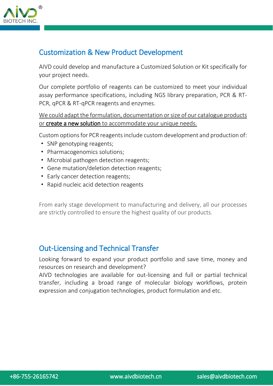

#### Customization & New Product Development

AIVD could develop and manufacture a Customized Solution or Kit specifically for your project needs.

Our complete portfolio of reagents can be customized to meet your individual assay performance specifications, including NGS library preparation, PCR & RT-PCR, qPCR & RT-qPCR reagents and enzymes.

We could adapt the formulation, documentation or size of our catalogue products or create a new solution to accommodate your unique needs.

Custom options for PCR reagentsinclude custom development and production of:

- · SNP genotyping reagents;
- · Pharmacogenomics solutions;
- · Microbial pathogen detection reagents;
- · Gene mutation/deletion detection reagents;
- · Early cancer detection reagents;
- · Rapid nucleic acid detection reagents

From early stage development to manufacturing and delivery, all our processes are strictly controlled to ensure the highest quality of our products.

#### Out-Licensing and Technical Transfer

Looking forward to expand your product portfolio and save time, money and resources on research and development?

AIVD technologies are available for out-licensing and full or partial technical transfer, including a broad range of molecular biology workflows, protein expression and conjugation technologies, product formulation and etc.